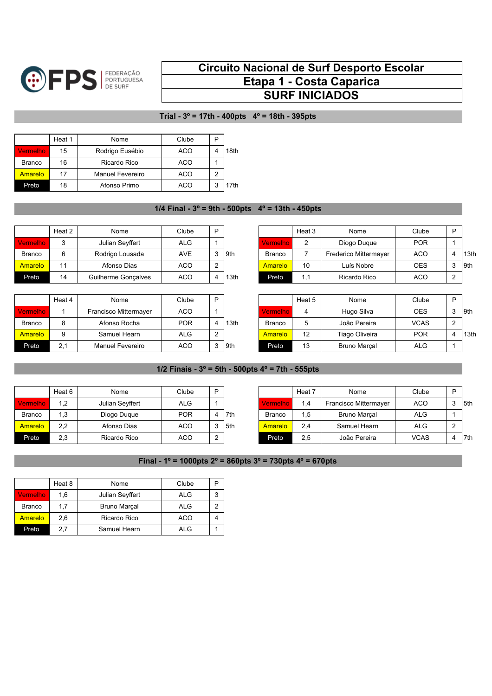

## **Circuito Nacional de Surf Desporto Escolar Etapa 1 - Costa Caparica SURF INICIADOS**

## **Trial - 3º = 17th - 400pts 4º = 18th - 395pts**

|                 | Heat 1 | Nome             | Clube | P |      |
|-----------------|--------|------------------|-------|---|------|
| <b>Vermelho</b> | 15     | Rodrigo Eusébio  | ACO   |   | 18th |
| <b>Branco</b>   | 16     | Ricardo Rico     | ACO   |   |      |
| Amarelo         | 17     | Manuel Fevereiro | ACO   | っ |      |
| Preto           | 18     | Afonso Primo     | ACO   | 3 | 17th |

## **1/4 Final - 3º = 9th - 500pts 4º = 13th - 450pts**

|                 | Heat 2 | Nome                | Clube | D           |       |               | Heat 3 | Nome                  | Clube      | D |      |
|-----------------|--------|---------------------|-------|-------------|-------|---------------|--------|-----------------------|------------|---|------|
| <b>Vermelho</b> | ົ      | Julian Seyffert     | ALG.  |             |       | /ermelho      |        | Diogo Duque           | <b>POR</b> |   |      |
| <b>Branco</b>   | ี      | Rodrigo Lousada     | AVE   |             | l 9th | <b>Branco</b> |        | Frederico Mittermayer | ACO        | Δ | 13th |
| <b>Amarelo</b>  | 11     | Afonso Dias         | ACO   | $\sim$<br>∠ |       | Amarelo       | 10     | Luís Nobre            | OES        |   | 9th  |
| Preto           | 14     | Guilherme Goncalves | ACO   | ↵           | 13th  | Preto         | ا ۱    | Ricardo Rico          | ACO        |   |      |

|               | Heat 4 | Nome                    | Clube      | D |       |               | Heat 5 | Nome                | Clube       | D          |      |
|---------------|--------|-------------------------|------------|---|-------|---------------|--------|---------------------|-------------|------------|------|
| Vermelho      |        | Francisco Mittermayer   | ACO        |   |       | ∕ermelho      |        | Hugo Silva          | OES.        |            | 9th  |
| <b>Branco</b> |        | Afonso Rocha            | <b>POR</b> |   | 13th  | <b>Branco</b> |        | João Pereira        | <b>VCAS</b> | $\sqrt{2}$ |      |
| Amarelo       | a      | Samuel Hearn            | ALG.       | ົ |       | Amarelo       |        | Tiago Oliveira      | <b>POR</b>  | $\Delta$   | 13th |
| Preto         | 2,1    | <b>Manuel Fevereiro</b> | ACO        |   | l 9th | Preto         | 13     | <b>Bruno Marcal</b> | <b>ALG</b>  |            |      |

| Heat 2 | Nome                | Clube      | D          |      |                | Heat 3 | Nome                  | Clube      | D |      |
|--------|---------------------|------------|------------|------|----------------|--------|-----------------------|------------|---|------|
|        | Julian Seyffert     | ALG        |            |      | Vermelho'      |        | Diogo Duque           | <b>POR</b> |   |      |
|        | Rodrigo Lousada     | <b>AVE</b> | 9th        |      | Branco         |        | Frederico Mittermayer | <b>ACO</b> |   | 13th |
|        | Afonso Dias         | <b>ACO</b> | $\sqrt{2}$ |      | <b>Amarelo</b> | 10     | Luís Nobre            | <b>OES</b> |   | 9th  |
| 14     | Guilherme Goncalves | <b>ACO</b> |            | 13th | Preto          |        | Ricardo Rico          | <b>ACO</b> |   |      |

| Heat 4 | Nome                    | Clube      | D      |      |                  | Heat 5 | Nome           | Clube       | D      |      |
|--------|-------------------------|------------|--------|------|------------------|--------|----------------|-------------|--------|------|
|        | Francisco Mittermayer   | <b>ACO</b> |        |      | <i>V</i> ermelho |        | Hugo Silva     | <b>OES</b>  |        | 9th  |
|        | Afonso Rocha            | <b>POR</b> |        | 13th | <b>Branco</b>    | b      | João Pereira   | <b>VCAS</b> | $\sim$ |      |
|        | Samuel Hearn            | <b>ALG</b> | $\sim$ |      | <b>Amarelo</b>   | 12     | Tiago Oliveira | <b>POR</b>  |        | 13th |
| 2,1    | <b>Manuel Fevereiro</b> | ACO        |        | 9th  | Preto            | 13     | Bruno Marcal   | <b>ALG</b>  |        |      |

## **1/2 Finais - 3º = 5th - 500pts 4º = 7th - 555pts**

|                 | Heat 6 | Nome            | Clube      | D           |     |               | . Heat $7$ | Nome                  | Clube       | D      |
|-----------------|--------|-----------------|------------|-------------|-----|---------------|------------|-----------------------|-------------|--------|
| <b>Vermelho</b> | 1.2    | Julian Seyffert | <b>ALG</b> |             |     | √ermelho      | 1.4        | Francisco Mittermayer | <b>ACO</b>  | ົ<br>J |
| <b>Branco</b>   | 1,3    | Diogo Dugue     | <b>POR</b> | Δ           | 7th | <b>Branco</b> | . 5        | <b>Bruno Marcal</b>   | ALG         |        |
| Amarelo         | 2,2    | Afonso Dias     | <b>ACO</b> |             | 5th | Amarelo       | 2.4        | Samuel Hearn          | ALG         | ົ      |
| Preto           | 2,3    | Ricardo Rico    | ACO        | $\sim$<br>∸ |     | Preto         | 2.5        | João Pereira          | <b>VCAS</b> | 4      |

|                | Heat 6 | Nome            | Clube      | D.             |       |               | Heat <sup>-</sup> | Nome                  | Clube       | D |       |
|----------------|--------|-----------------|------------|----------------|-------|---------------|-------------------|-----------------------|-------------|---|-------|
| Vermelho       | 1.2    | Julian Seyffert | ALG        |                |       | /ermelho      | 1.4               | Francisco Mittermaver | <b>ACO</b>  | 3 | l 5th |
| <b>Branco</b>  | .3     | Diogo Dugue     | POR        |                | l 7th | <b>Branco</b> | . 5               | <b>Bruno Marcal</b>   | <b>ALG</b>  |   |       |
| <b>Amarelo</b> | 2.2    | Afonso Dias     | ACO        | 3              | l 5th | Amarelo       | 2.4               | Samuel Hearn          | <b>ALG</b>  |   |       |
| Preto          | 2,3    | Ricardo Rico    | <b>ACO</b> | $\overline{2}$ |       | Preto         | 2,5               | João Pereira          | <b>VCAS</b> | 4 | l 7th |

**Final - 1º = 1000pts 2º = 860pts 3º = 730pts 4º = 670pts**

|                 | Heat 8 | Nome                | Clube |   |
|-----------------|--------|---------------------|-------|---|
| <b>Vermelho</b> | 1,6    | Julian Seyffert     | ALG   | з |
| <b>Branco</b>   | 1.7    | <b>Bruno Marcal</b> | ALG   |   |
| Amarelo         | 2.6    | Ricardo Rico        | ACO   |   |
| Preto           | 2.7    | Samuel Hearn        | ALG   |   |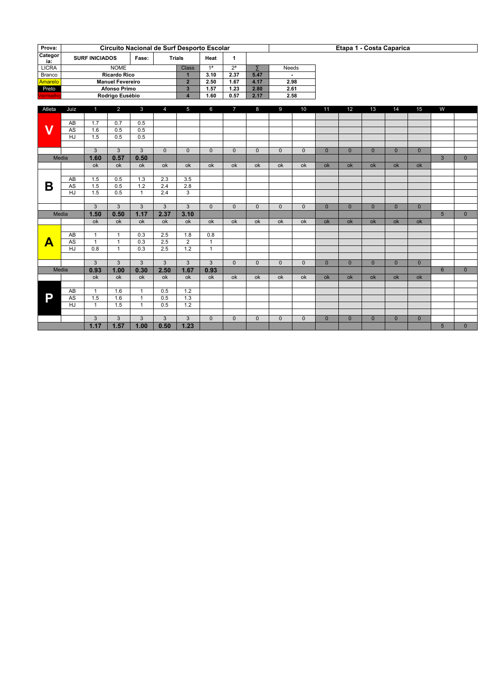| Prova:         |                 |                       |                         |                |                | Circuito Nacional de Surf Desporto Escolar |                |                  |                |              |                |                |                |                          | Etapa 1 - Costa Caparica |                |                 |              |
|----------------|-----------------|-----------------------|-------------------------|----------------|----------------|--------------------------------------------|----------------|------------------|----------------|--------------|----------------|----------------|----------------|--------------------------|--------------------------|----------------|-----------------|--------------|
| Categor<br>ia: |                 | <b>SURF INICIADOS</b> |                         | Fase:          |                | <b>Trials</b>                              | Heat           | $\mathbf{1}$     |                |              |                |                |                |                          |                          |                |                 |              |
| <b>LICRA</b>   |                 |                       | <b>NOME</b>             |                |                | <b>Class</b>                               | 1 <sup>a</sup> | $\overline{2^a}$ | $\overline{2}$ | Needs        |                |                |                |                          |                          |                |                 |              |
| <b>Branco</b>  |                 |                       | <b>Ricardo Rico</b>     |                |                | $\mathbf{1}$                               | 3.10           | 2.37             | 5.47           |              | $\blacksquare$ |                |                |                          |                          |                |                 |              |
| Amarelo        |                 |                       | <b>Manuel Fevereiro</b> |                |                | $\overline{2}$                             | 2.50           | 1.67             | 4.17           |              | 2.98           |                |                |                          |                          |                |                 |              |
| Preto          |                 |                       | <b>Afonso Primo</b>     |                |                | $\overline{3}$                             | 1.57           | 1.23             | 2.80           |              | 2.61           |                |                |                          |                          |                |                 |              |
| Vermelho       |                 |                       | Rodrigo Eusébio         |                |                | $\overline{4}$                             | 1.60           | 0.57             | 2.17           |              | 2.58           |                |                |                          |                          |                |                 |              |
| Atleta         | Juiz            | 1 <sup>1</sup>        | $\overline{2}$          | $\mathbf{3}$   | 4              | 5                                          | 6              | $\overline{7}$   | 8              | 9            | 10             | 11             | 12             | 13                       | 14                       | 15             | W               |              |
|                |                 |                       |                         |                |                |                                            |                |                  |                |              |                |                |                |                          |                          |                |                 |              |
|                | AB              | 1.7                   | 0.7                     | 0.5            |                |                                            |                |                  |                |              |                |                |                |                          |                          |                |                 |              |
| $\mathbf V$    | $\overline{AS}$ | 1.6<br>1.5            | 0.5<br>0.5              | 0.5<br>0.5     |                |                                            |                |                  |                |              |                |                |                |                          |                          |                |                 |              |
|                | HJ              |                       |                         |                |                |                                            |                |                  |                |              |                |                |                |                          |                          |                |                 |              |
|                |                 | $\overline{3}$        | 3                       | $\overline{3}$ | $\Omega$       | $\Omega$                                   | $\Omega$       | $\Omega$         | $\Omega$       | $\mathbf{0}$ | $\mathbf{0}$   | $\mathbf{0}$   | $\mathbf{0}$   | $\overline{0}$           | $\mathbf{0}$             | $\overline{0}$ |                 |              |
|                | Media           | 1.60                  | 0.57                    | 0.50           |                |                                            |                |                  |                |              |                |                |                |                          |                          |                | $\mathbf{3}$    | $\mathbf{0}$ |
|                |                 | ok                    | ok                      | ok             | ok             | ok                                         | ok             | ok               | ok             | ok           | ok             | ok             | ok             | ok                       | ok                       | ok             |                 |              |
|                |                 |                       |                         |                |                |                                            |                |                  |                |              |                |                |                |                          |                          |                |                 |              |
|                | AB              | 1.5                   | 0.5                     | 1.3            | 2.3            | 3.5                                        |                |                  |                |              |                |                |                |                          |                          |                |                 |              |
| В              | $\overline{AS}$ | 1.5                   | 0.5                     | 1.2            | 2.4            | 2.8                                        |                |                  |                |              |                |                |                |                          |                          |                |                 |              |
|                | HJ              | 1.5                   | 0.5                     | $\mathbf{1}$   | 2.4            | 3                                          |                |                  |                |              |                |                |                |                          |                          |                |                 |              |
|                |                 |                       |                         |                |                |                                            |                |                  |                |              |                |                |                |                          |                          |                |                 |              |
|                |                 | $\overline{3}$        | $\overline{3}$          | $\overline{3}$ | $\overline{3}$ | 3                                          | $\Omega$       | $\overline{0}$   | $\Omega$       | $\Omega$     | $\overline{0}$ | $\overline{0}$ | $\overline{0}$ | $\overline{0}$           | $\overline{0}$           | $\overline{0}$ |                 |              |
|                | Media           | 1.50                  | 0.50                    | 1.17           | 2.37           | 3.10                                       |                |                  |                |              |                |                |                |                          |                          |                | 5 <sup>5</sup>  | $\Omega$     |
|                |                 | $\overline{ok}$       | ok                      | ok             | ok             | $\overline{ok}$                            | ok             | ok               | ok             | ok           | ok             | ok             | ok             | $\overline{\mathsf{ok}}$ | ok                       | ok             |                 |              |
|                |                 |                       |                         |                |                |                                            |                |                  |                |              |                |                |                |                          |                          |                |                 |              |
|                | AB              | $\mathbf{1}$          | $\mathbf{1}$            | 0.3            | 2.5            | 1.8                                        | 0.8            |                  |                |              |                |                |                |                          |                          |                |                 |              |
| A              | $\overline{AS}$ | $\overline{1}$        | $\mathbf{1}$            | 0.3            | 2.5            | $\overline{2}$                             | $\mathbf{1}$   |                  |                |              |                |                |                |                          |                          |                |                 |              |
|                | HJ              | 0.8                   | $\mathbf{1}$            | 0.3            | 2.5            | 1.2                                        | $\overline{1}$ |                  |                |              |                |                |                |                          |                          |                |                 |              |
|                |                 |                       |                         |                |                |                                            |                |                  |                |              |                |                |                |                          |                          |                |                 |              |
|                |                 | 3                     | 3                       | 3              | 3              | 3                                          | 3              | $\Omega$         | $\mathbf{0}$   | $\mathbf{0}$ | $\mathbf{0}$   | $\mathbf{0}$   | $\mathbf{0}$   | $\overline{0}$           | $\mathbf{0}$             | $\overline{0}$ |                 |              |
|                | Media           | 0.93                  | 1.00                    | 0.30           | 2.50           | 1.67                                       | 0.93           |                  |                |              |                |                |                |                          |                          |                | $6\overline{6}$ | $\mathbf{0}$ |
|                |                 | ok                    | ok                      | ok             | ok             | ok                                         | ok             | ok               | ok             | ok           | ok             | ok             | ok             | ok                       | ok                       | ok             |                 |              |
|                |                 |                       |                         |                |                |                                            |                |                  |                |              |                |                |                |                          |                          |                |                 |              |
|                | $\overline{AB}$ | $\overline{1}$        | 1.6                     | $\mathbf{1}$   | 0.5            | $\overline{1.2}$                           |                |                  |                |              |                |                |                |                          |                          |                |                 |              |
| P              | $\overline{AS}$ | 1.5                   | 1.6                     | $\mathbf{1}$   | 0.5            | 1.3                                        |                |                  |                |              |                |                |                |                          |                          |                |                 |              |
|                | HJ              | $\mathbf{1}$          | 1.5                     | $\mathbf{1}$   | 0.5            | 1.2                                        |                |                  |                |              |                |                |                |                          |                          |                |                 |              |
|                |                 |                       |                         |                |                |                                            |                |                  |                |              |                |                |                |                          |                          |                |                 |              |
|                |                 | $\mathbf{3}$          | 3                       | 3              | $\mathbf{3}$   | 3                                          | $\mathbf{0}$   | $\mathbf{0}$     | $\mathbf{0}$   | $\mathbf{0}$ | $\mathbf{0}$   | $\mathbf{0}$   | $\mathbf{0}$   | $\overline{0}$           | $\mathbf{0}$             | $\overline{0}$ |                 |              |
|                |                 | 1.17                  | 1.57                    | 1.00           | 0.50           | 1.23                                       |                |                  |                |              |                |                |                |                          |                          |                | 5               | $\mathbf{0}$ |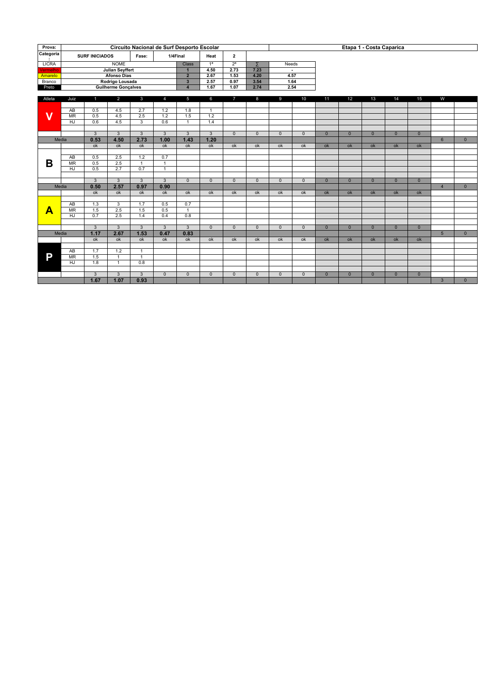| Prova:                  |                        |                                                     |                            |                |                  | Circuito Nacional de Surf Desporto Escolar |                |                |                |                |                |                |                | Etapa 1 - Costa Caparica |                |                |                |              |
|-------------------------|------------------------|-----------------------------------------------------|----------------------------|----------------|------------------|--------------------------------------------|----------------|----------------|----------------|----------------|----------------|----------------|----------------|--------------------------|----------------|----------------|----------------|--------------|
| Categoria<br>÷          |                        | <b>SURF INICIADOS</b>                               |                            | Fase:          |                  | 1/4Final                                   | Heat           | $\overline{2}$ |                |                |                |                |                |                          |                |                |                |              |
| <b>LICRA</b>            |                        |                                                     | <b>NOME</b>                |                |                  | <b>Class</b>                               | 1 <sup>a</sup> | 2 <sup>a</sup> | Σ              | Needs          |                |                |                |                          |                |                |                |              |
| <b>Vermelho</b>         |                        |                                                     | <b>Julian Seyffert</b>     |                |                  | $\mathbf{1}$                               | 4.50           | 2.73           | 7.23           |                | $\blacksquare$ |                |                |                          |                |                |                |              |
| Amarelo                 |                        |                                                     | <b>Afonso Dias</b>         |                |                  | $\overline{2}$                             | 2.67           | 1.53           | 4.20           |                | 4.57           |                |                |                          |                |                |                |              |
| Branco                  |                        |                                                     | Rodrigo Lousada            |                |                  | $\overline{\mathbf{3}}$                    | 2.57           | 0.97           | 3.54           |                | 1.64           |                |                |                          |                |                |                |              |
| Preto                   |                        |                                                     | <b>Guilherme Gonçalves</b> |                |                  | $\overline{4}$                             | 1.67           | 1.07           | 2.74           |                | 2.54           |                |                |                          |                |                |                |              |
| Atleta                  | Juiz                   | $\blacksquare$                                      | $\overline{2}$             | $\overline{3}$ | $\overline{4}$   | 5                                          | 6              | $\overline{7}$ | 8              | 9              | 10             | 11             | 12             | 13                       | 14             | 15             | W              |              |
|                         |                        |                                                     |                            |                |                  |                                            |                |                |                |                |                |                |                |                          |                |                |                |              |
|                         | AB                     | 0.5                                                 | 4.5                        | 2.7            | 1.2              | 1.8                                        | $\mathbf{1}$   |                |                |                |                |                |                |                          |                |                |                |              |
| $\overline{\mathsf{v}}$ | $\overline{\text{MR}}$ | 0.5                                                 | 4.5                        | 2.5            | $\overline{1.2}$ | $\overline{1.5}$                           | 1.2            |                |                |                |                |                |                |                          |                |                |                |              |
|                         | HJ                     | 0.6                                                 | 4.5                        | $\overline{3}$ | 0.6              | $\mathbf{1}$                               | 1.4            |                |                |                |                |                |                |                          |                |                |                |              |
|                         |                        | $\overline{3}$                                      | $\overline{3}$             | $\overline{3}$ | $\overline{3}$   | $\overline{3}$                             | $\overline{3}$ |                | $\overline{0}$ |                |                |                | $\overline{0}$ |                          |                |                |                |              |
|                         |                        | 0.53                                                | 4.50                       | 2.73           | 1.00             | 1.43                                       | 1.20           | $\Omega$       |                | $\Omega$       | $\Omega$       | $\overline{0}$ |                | $\Omega$                 | $\overline{0}$ | $\overline{0}$ |                |              |
|                         | Media                  |                                                     |                            |                |                  |                                            |                |                |                |                |                |                |                |                          |                |                | 6              | $\mathbf{0}$ |
|                         |                        | ok                                                  | ok                         | ok             | ok               | ok                                         | ok             | ok             | ok             | ok             | ok             | ok             | ok             | ok                       | ok             | ok             |                |              |
|                         | AB                     | 0.5                                                 | 2.5                        | 1.2            | 0.7              |                                            |                |                |                |                |                |                |                |                          |                |                |                |              |
| B                       | M <sub>R</sub>         | 0.5                                                 | 2.5                        | $\overline{1}$ | $\overline{1}$   |                                            |                |                |                |                |                |                |                |                          |                |                |                |              |
|                         | HJ                     | 0.5                                                 | $\overline{2.7}$           | 0.7            | $\mathbf{1}$     |                                            |                |                |                |                |                |                |                |                          |                |                |                |              |
|                         |                        |                                                     |                            |                |                  |                                            |                |                |                |                |                |                |                |                          |                |                |                |              |
|                         |                        | $\overline{3}$                                      | $\overline{3}$             | $\mathbf{3}$   | $\overline{3}$   | $\Omega$                                   | $\Omega$       | $\Omega$       | $\overline{0}$ | $\overline{0}$ | $\Omega$       | $\overline{0}$ | $\overline{0}$ | $\Omega$                 | $\overline{0}$ | $\overline{0}$ |                |              |
|                         | Media                  | 0.50                                                | 2.57                       | 0.97           | 0.90             |                                            |                |                |                |                |                |                |                |                          |                |                | $\overline{4}$ | $\mathbf{0}$ |
|                         |                        | $\overline{ok}$                                     | ok                         | ok             | ok               | ok                                         | ok             | ok             | ok             | ok             | ok             | ok             | ok             | ok                       | ok             | ok             |                |              |
|                         |                        |                                                     |                            |                |                  |                                            |                |                |                |                |                |                |                |                          |                |                |                |              |
|                         | AB                     | 1.3                                                 | 3                          | 1.7            | 0.5              | 0.7                                        |                |                |                |                |                |                |                |                          |                |                |                |              |
| Α                       | $\overline{\text{MR}}$ | 1.5                                                 | $\overline{2.5}$           | 1.5            | 0.5              | $\mathbf{1}$                               |                |                |                |                |                |                |                |                          |                |                |                |              |
|                         | HJ                     | 0.7                                                 | 2.5                        | 1.4            | 0.4              | 0.8                                        |                |                |                |                |                |                |                |                          |                |                |                |              |
|                         |                        |                                                     |                            |                |                  |                                            |                |                |                |                |                |                |                |                          |                |                |                |              |
|                         |                        | $\overline{3}$                                      | $\overline{3}$             | $\overline{3}$ | $\overline{3}$   | $\overline{3}$                             | $\overline{0}$ | $\overline{0}$ | $\overline{0}$ | $\overline{0}$ | $\overline{0}$ | $\overline{0}$ | $\overline{0}$ | $\overline{0}$           | $\overline{0}$ | $\overline{0}$ |                |              |
|                         | Media                  | 1.17                                                | 2.67                       | 1.53           | 0.47             | 0.83                                       |                |                |                |                |                |                |                |                          |                |                | 5              | $\mathbf{0}$ |
|                         |                        | ok                                                  | ok                         | ok             | ok               | ok                                         | ok             | ok             | ok             | ok             | ok             | ok             | ok             | ok                       | ok             | ok             |                |              |
|                         | $\overline{AB}$        | 1.7                                                 | 1.2                        | $\mathbf{1}$   |                  |                                            |                |                |                |                |                |                |                |                          |                |                |                |              |
| P                       | <b>MR</b>              | 1.5                                                 | $\mathbf{1}$               | $\overline{1}$ |                  |                                            |                |                |                |                |                |                |                |                          |                |                |                |              |
|                         | $\overline{HJ}$        | $\overline{1.8}$                                    | $\mathbf{1}$               | 0.8            |                  |                                            |                |                |                |                |                |                |                |                          |                |                |                |              |
|                         |                        |                                                     |                            |                |                  |                                            |                |                |                |                |                |                |                |                          |                |                |                |              |
|                         |                        | $\overline{3}$<br>3<br>$\mathbf{3}$<br>$\mathbf{0}$ |                            |                |                  | $\mathbf{0}$                               | $\mathbf{0}$   | $\mathbf{0}$   | $\mathbf{0}$   | $\mathbf{0}$   | $\mathbf{0}$   | $\overline{0}$ | $\overline{0}$ | $\overline{0}$           | $\mathbf{0}$   | $\mathbf{0}$   |                |              |
|                         |                        | 1.67                                                | 1.07                       | 0.93           |                  |                                            |                |                |                |                |                |                |                |                          |                |                | $\overline{3}$ | $\mathbf{0}$ |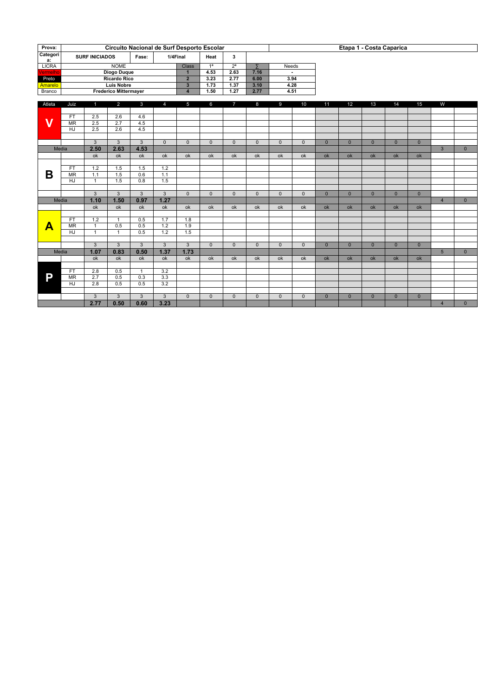| Prova:                  |                        |                       | Circuito Nacional de Surf Desporto Escolar |                  |                |                         |                |                         |                |                |                |                |                | Etapa 1 - Costa Caparica |                |                |                 |              |
|-------------------------|------------------------|-----------------------|--------------------------------------------|------------------|----------------|-------------------------|----------------|-------------------------|----------------|----------------|----------------|----------------|----------------|--------------------------|----------------|----------------|-----------------|--------------|
| Categori                |                        | <b>SURF INICIADOS</b> |                                            | Fase:            |                | 1/4Final                | Heat           | $\overline{\mathbf{3}}$ |                |                |                |                |                |                          |                |                |                 |              |
| a:<br><b>LICRA</b>      |                        |                       | <b>NOME</b>                                |                  |                | <b>Class</b>            | 1 <sup>a</sup> | 2 <sup>a</sup>          | Σ              | Needs          |                |                |                |                          |                |                |                 |              |
| Vermelho                |                        |                       | <b>Diogo Duque</b>                         |                  |                | $\overline{1}$          | 4.53           | 2.63                    | 7.16           |                | $\sim$         |                |                |                          |                |                |                 |              |
| Preto                   |                        |                       | <b>Ricardo Rico</b>                        |                  |                | $\overline{2}$          | 3.23           | 2.77                    | 6.00           |                | 3.94           |                |                |                          |                |                |                 |              |
| Amarelo                 |                        |                       | <b>Luís Nobre</b>                          |                  |                | $\overline{\mathbf{3}}$ | 1.73           | 1.37                    | 3.10           |                | 4.28           |                |                |                          |                |                |                 |              |
| Branco                  |                        |                       | <b>Frederico Mittermayer</b>               |                  |                | $\overline{4}$          | 1.50           | 1.27                    | 2.77           |                | 4.51           |                |                |                          |                |                |                 |              |
| Atleta                  | Juiz                   | 1                     | $\overline{2}$                             | $\mathbf{3}$     | $\overline{4}$ | 5                       | 6              | $\overline{7}$          | 8              | 9              | 10             | 11             | 12             | 13                       | 14             | 15             | W               |              |
|                         |                        |                       |                                            |                  |                |                         |                |                         |                |                |                |                |                |                          |                |                |                 |              |
|                         | <b>FT</b>              | 2.5                   | 2.6                                        | 4.6              |                |                         |                |                         |                |                |                |                |                |                          |                |                |                 |              |
| $\overline{\mathsf{v}}$ | $\overline{\text{MR}}$ | 2.5                   | $\overline{2.7}$                           | 4.5              |                |                         |                |                         |                |                |                |                |                |                          |                |                |                 |              |
|                         | $\overline{HJ}$        | $\overline{2.5}$      | $\overline{2.6}$                           | $\overline{4.5}$ |                |                         |                |                         |                |                |                |                |                |                          |                |                |                 |              |
|                         |                        |                       |                                            |                  |                |                         |                |                         |                |                |                |                |                |                          |                |                |                 |              |
|                         |                        |                       | $\overline{3}$                             | $\overline{3}$   | $\overline{0}$ | $\mathbf{0}$            | $\mathbf{0}$   | $\mathbf{0}$            | $\mathbf{0}$   | $\mathbf{0}$   | $\mathbf{0}$   | $\overline{0}$ | $\overline{0}$ | $\overline{0}$           | $\mathbf{0}$   | $\overline{0}$ |                 |              |
| Media                   |                        | 2.50                  | 2.63                                       | 4.53             |                |                         |                |                         |                |                |                |                |                |                          |                |                | $\overline{3}$  | $\mathbf{0}$ |
|                         |                        | ok                    | ok                                         | ok               | ok             | ok                      | ok             | ok                      | ok             | ok             | ok             | ok             | ok             | ok                       | ok             | ok             |                 |              |
|                         | <b>FT</b>              |                       |                                            |                  |                |                         |                |                         |                |                |                |                |                |                          |                |                |                 |              |
| B                       | $\overline{\text{MR}}$ | 1.2<br>1.1            | 1.5<br>1.5                                 | 1.5<br>0.6       | 1.2<br>1.1     |                         |                |                         |                |                |                |                |                |                          |                |                |                 |              |
|                         | HJ                     | $\mathbf{1}$          | 1.5                                        | 0.8              | 1.5            |                         |                |                         |                |                |                |                |                |                          |                |                |                 |              |
|                         |                        |                       |                                            |                  |                |                         |                |                         |                |                |                |                |                |                          |                |                |                 |              |
|                         |                        | $\overline{3}$        | $\overline{3}$                             | $\overline{3}$   | $\overline{3}$ | $\overline{0}$          | $\overline{0}$ | $\overline{0}$          | $\overline{0}$ | $\overline{0}$ | $\overline{0}$ | $\overline{0}$ | $\overline{0}$ | $\overline{0}$           | $\overline{0}$ | $\overline{0}$ |                 |              |
| Media                   |                        | 1.10                  | 1.50                                       | 0.97             | 1.27           |                         |                |                         |                |                |                |                |                |                          |                |                | $\overline{4}$  | $\mathbf{0}$ |
|                         |                        | ok                    | ok                                         | ok               | ok             | ok                      | ok             | ok                      | ok             | ok             | ok             | ok             | ok             | ok                       | ok             | ok             |                 |              |
|                         |                        |                       |                                            |                  |                |                         |                |                         |                |                |                |                |                |                          |                |                |                 |              |
|                         | FT                     | 1.2                   | $\mathbf{1}$                               | 0.5              | 1.7            | 1.8                     |                |                         |                |                |                |                |                |                          |                |                |                 |              |
| Α                       | $\overline{\text{MR}}$ | $\mathbf{1}$          | 0.5                                        | 0.5              | 1.2            | $\overline{1.9}$        |                |                         |                |                |                |                |                |                          |                |                |                 |              |
|                         | HJ                     | $\mathbf{1}$          | $\mathbf{1}$                               | 0.5              | 1.2            | 1.5                     |                |                         |                |                |                |                |                |                          |                |                |                 |              |
|                         |                        |                       |                                            | $\overline{3}$   |                | $\overline{3}$          |                |                         |                |                |                |                |                |                          |                |                |                 |              |
| Media                   |                        | 3<br>1.07             | $\mathbf{3}$<br>0.83                       | 0.50             | 3<br>1.37      | 1.73                    | $\Omega$       | $\Omega$                | $\Omega$       | $\Omega$       | $\Omega$       | $\mathbf{0}$   | $\Omega$       | $\Omega$                 | $\mathbf{0}$   | $\Omega$       | $5\overline{5}$ | $\mathbf{0}$ |
|                         |                        | ok                    | ok                                         | ok               | ok             | ok                      | ok             | ok                      | ok             | ok             | ok             | ok             | ok             | ok                       | ok             | ok             |                 |              |
|                         |                        |                       |                                            |                  |                |                         |                |                         |                |                |                |                |                |                          |                |                |                 |              |
|                         | <b>FT</b>              | 2.8                   | 0.5                                        | $\mathbf{1}$     | 3.2            |                         |                |                         |                |                |                |                |                |                          |                |                |                 |              |
| P                       | $\overline{\text{MR}}$ | $\overline{2.7}$      | 0.5                                        | 0.3              | 3.3            |                         |                |                         |                |                |                |                |                |                          |                |                |                 |              |
|                         | HJ                     | 2.8                   | 0.5                                        | 0.5              | 3.2            |                         |                |                         |                |                |                |                |                |                          |                |                |                 |              |
|                         |                        |                       |                                            |                  |                |                         |                |                         |                |                |                |                |                |                          |                |                |                 |              |
|                         |                        | 3                     | $\mathbf{3}$                               | $\mathbf{3}$     | $\mathbf{3}$   | $\Omega$                | $\mathbf{0}$   | $\Omega$                | $\mathbf{0}$   | $\mathbf{0}$   | $\mathbf{0}$   | $\mathbf{0}$   | $\mathbf{0}$   | $\mathbf{0}$             | $\mathbf{0}$   | $\mathbf{0}$   |                 |              |
|                         | 2.77                   |                       | 0.50                                       | 0.60             | 3.23           |                         |                |                         |                |                |                |                |                |                          |                |                | $\overline{4}$  | $\mathbf{0}$ |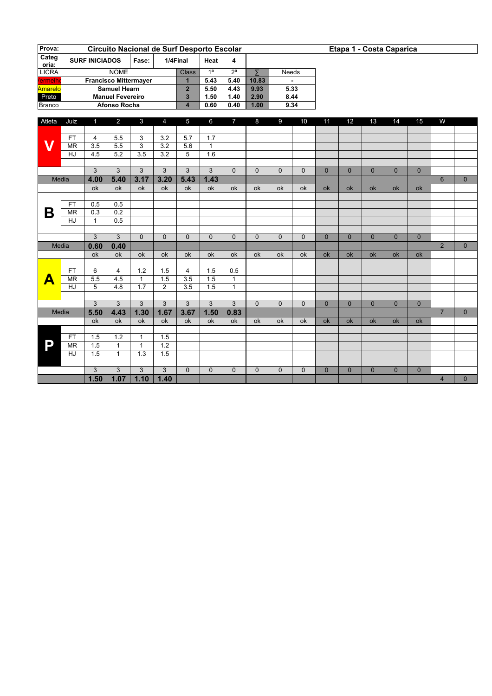| Prova:         |           |                       |                         |                              | Circuito Nacional de Surf Desporto Escolar |                |                |                |          |          |          |          |                 | Etapa 1 - Costa Caparica |          |          |   |              |
|----------------|-----------|-----------------------|-------------------------|------------------------------|--------------------------------------------|----------------|----------------|----------------|----------|----------|----------|----------|-----------------|--------------------------|----------|----------|---|--------------|
| Categ<br>oria: |           | <b>SURF INICIADOS</b> |                         | Fase:                        |                                            | 1/4Final       | Heat           | 4              |          |          |          |          |                 |                          |          |          |   |              |
| <b>LICRA</b>   |           |                       | <b>NOME</b>             |                              |                                            | <b>Class</b>   | 1 <sup>a</sup> | 2 <sup>a</sup> |          | Needs    |          |          |                 |                          |          |          |   |              |
| Vermelho       |           |                       |                         | <b>Francisco Mittermayer</b> |                                            | 1              | 5.43           | 5.40           | 10.83    |          |          |          |                 |                          |          |          |   |              |
| Amarelo        |           |                       | Samuel Hearn            |                              |                                            | $\overline{2}$ | 5.50           | 4.43           | 9.93     |          | 5.33     |          |                 |                          |          |          |   |              |
| Preto          |           |                       | <b>Manuel Fevereiro</b> |                              |                                            | 3              | 1.50           | 1.40           | 2.90     | 8.44     |          |          |                 |                          |          |          |   |              |
| Branco         |           |                       | Afonso Rocha            |                              |                                            | 4              | 0.60           | 0.40           | 1.00     |          | 9.34     |          |                 |                          |          |          |   |              |
|                |           |                       |                         |                              |                                            |                |                |                |          |          |          |          |                 |                          |          |          |   |              |
| Atleta         | Juiz      | 1                     | $\overline{2}$          | 3                            | 4                                          | 5              | 6              | $\overline{7}$ | 8        | 9        | 10       | 11       | 12 <sup>2</sup> | 13                       | 14       | 15       | W |              |
|                |           |                       |                         |                              |                                            |                |                |                |          |          |          |          |                 |                          |          |          |   |              |
|                | <b>FT</b> | 4                     | 5.5                     | 3                            | 3.2                                        | 5.7            | 1.7            |                |          |          |          |          |                 |                          |          |          |   |              |
| V              | <b>MR</b> | 3.5                   | 5.5                     | 3                            | 3.2                                        | 5.6            |                |                |          |          |          |          |                 |                          |          |          |   |              |
|                | HJ        | 4.5                   | 5.2                     | 3.5                          | 3.2                                        | 5              | 1.6            |                |          |          |          |          |                 |                          |          |          |   |              |
|                |           |                       |                         |                              |                                            |                |                |                |          |          |          |          |                 |                          |          |          |   |              |
|                |           | 3                     | 3                       | 3                            | 3                                          | 3              | 3              | $\Omega$       | $\Omega$ | $\Omega$ | $\Omega$ | $\Omega$ | $\Omega$        | $\Omega$                 | $\Omega$ | $\Omega$ |   |              |
|                | Media     | 4.00                  | 5.40                    | 3.17                         | 3.20                                       | 5.43           | 1.43           |                |          |          |          |          |                 |                          |          |          | 6 | $\mathbf{0}$ |
|                |           | $\sim$                | $\sim$                  | $\sim$                       | $\sim$                                     | $\sim$         | $\sim$         | $\sim$         | $\sim$   | $\sim$   | $\sim$   | $\sim$   | $\sim$          | $\sim$                   | $\sim$   | $\sim$   |   |              |

|       |           | ok           | ok           | ok       | ok             | 0k       | ok       | ok           | ok           | ok           | 0k           | <b>ok</b> | <b>ok</b>    | ok           | ok        | ok           |                |                |
|-------|-----------|--------------|--------------|----------|----------------|----------|----------|--------------|--------------|--------------|--------------|-----------|--------------|--------------|-----------|--------------|----------------|----------------|
|       |           |              |              |          |                |          |          |              |              |              |              |           |              |              |           |              |                |                |
| Β     | FT.       | 0.5          | 0.5          |          |                |          |          |              |              |              |              |           |              |              |           |              |                |                |
|       | <b>MR</b> | 0.3          | 0.2          |          |                |          |          |              |              |              |              |           |              |              |           |              |                |                |
|       | HJ        | $\mathbf{1}$ | 0.5          |          |                |          |          |              |              |              |              |           |              |              |           |              |                |                |
|       |           |              |              |          |                |          |          |              |              |              |              |           |              |              |           |              |                |                |
|       |           | 3            | 3            | $\Omega$ | $\Omega$       | $\Omega$ | $\Omega$ | $\Omega$     | $\Omega$     | $\Omega$     | $\Omega$     | $\Omega$  | $\mathbf{0}$ | $\Omega$     | $\Omega$  | $\mathbf{0}$ |                |                |
| Media |           | 0.60         | 0.40         |          |                |          |          |              |              |              |              |           |              |              |           |              | $\overline{2}$ | $\overline{0}$ |
|       |           | ok           | ok           | ok       | ok             | ok       | ok       | ok           | ok           | ok           | ok           | ok        | ok           | ok           | ok        | ok           |                |                |
|       |           |              |              |          |                |          |          |              |              |              |              |           |              |              |           |              |                |                |
| Д     | FT.       | 6            | 4            | 1.2      | 1.5            | 4        | 1.5      | 0.5          |              |              |              |           |              |              |           |              |                |                |
|       | <b>MR</b> | 5.5          | 4.5          | 1        | 1.5            | 3.5      | 1.5      | $\mathbf{1}$ |              |              |              |           |              |              |           |              |                |                |
|       | HJ        | 5            | 4.8          | 1.7      | $\overline{2}$ | 3.5      | 1.5      | $\mathbf{1}$ |              |              |              |           |              |              |           |              |                |                |
|       |           |              |              |          |                |          |          |              |              |              |              |           |              |              |           |              |                |                |
|       |           | 3            | 3            | 3        | 3              | 3        | 3        | 3            | $\Omega$     | $\Omega$     | $\Omega$     | $\Omega$  | $\Omega$     | $\Omega$     | $\Omega$  | $\Omega$     |                |                |
| Media |           | 5.50         | 4.43         | 1.30     | 1.67           | 3.67     | 1.50     | 0.83         |              |              |              |           |              |              |           |              | $\overline{7}$ | $\overline{0}$ |
|       |           | ok           | ok           | ok       | ok             | ok       | ok       | ok           | ok           | ok           | ok           | ok        | ok           | ok           | <b>ok</b> | <b>ok</b>    |                |                |
|       |           |              |              |          |                |          |          |              |              |              |              |           |              |              |           |              |                |                |
|       | FT.       | 1.5          | 1.2          | 1        | 1.5            |          |          |              |              |              |              |           |              |              |           |              |                |                |
| p     | <b>MR</b> | 1.5          | $\mathbf{1}$ | 1        | 1.2            |          |          |              |              |              |              |           |              |              |           |              |                |                |
|       | HJ        | 1.5          | 1            | 1.3      | 1.5            |          |          |              |              |              |              |           |              |              |           |              |                |                |
|       |           |              |              |          |                |          |          |              |              |              |              |           |              |              |           |              |                |                |
|       |           | 3            | 3            | 3        | 3              | $\Omega$ | $\Omega$ | $\mathbf{0}$ | $\mathbf{0}$ | $\mathbf{0}$ | $\mathbf{0}$ | $\Omega$  | $\Omega$     | $\mathbf{0}$ | $\Omega$  | $\mathbf{0}$ |                |                |
|       |           | 1.50         | 1.07         | 1.10     | 1.40           |          |          |              |              |              |              |           |              |              |           |              | $\overline{4}$ | $\mathbf{0}$   |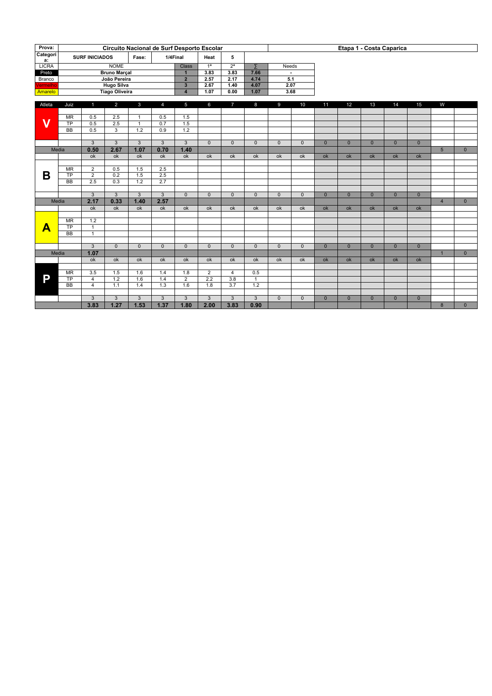| Prova:                  |                        |                              | Circuito Nacional de Surf Desporto Escolar |                  |                  |                         |                  |                  | Etapa 1 - Costa Caparica |                |                |                |                |                |                 |                |                 |              |  |
|-------------------------|------------------------|------------------------------|--------------------------------------------|------------------|------------------|-------------------------|------------------|------------------|--------------------------|----------------|----------------|----------------|----------------|----------------|-----------------|----------------|-----------------|--------------|--|
| Categori                |                        | <b>SURF INICIADOS</b>        |                                            | Fase:            |                  |                         | Heat             | 5                |                          |                |                |                |                |                |                 |                |                 |              |  |
| a:                      |                        |                              | 1/4Final                                   |                  |                  |                         |                  |                  |                          |                |                |                |                |                |                 |                |                 |              |  |
| <b>LICRA</b>            |                        |                              | <b>NOME</b>                                |                  |                  | <b>Class</b>            | $\overline{1^a}$ | $\overline{2^a}$ | $\overline{z}$           | <b>Needs</b>   |                |                |                |                |                 |                |                 |              |  |
| Preto                   |                        |                              | <b>Bruno Marçal</b>                        |                  |                  | $\overline{1}$          | 3.83             | 3.83             | 7.66                     |                | $\sim$         |                |                |                |                 |                |                 |              |  |
| Branco                  |                        |                              | João Pereira                               |                  |                  | $\overline{2}$          | 2.57             | 2.17             | 4.74                     | 5.1            |                |                |                |                |                 |                |                 |              |  |
| Vermelho                |                        |                              | <b>Hugo Silva</b>                          |                  |                  | $\overline{\mathbf{3}}$ | 2.67             | 1.40             | 4.07                     | 2.07           |                |                |                |                |                 |                |                 |              |  |
| Amarelo                 |                        |                              | <b>Tiago Oliveira</b>                      |                  |                  | $\overline{4}$          | 1.07             | 0.00             | 1.07                     | 3.68           |                |                |                |                |                 |                |                 |              |  |
| Atleta                  | Juiz                   | 1                            | $\overline{2}$                             | $\mathbf{3}$     | $\overline{4}$   | 5                       | 6                | $\overline{7}$   | 8                        | 9              | 10             | 11             | 12             | 13             | 14              | 15             | W               |              |  |
|                         |                        |                              |                                            |                  |                  |                         |                  |                  |                          |                |                |                |                |                |                 |                |                 |              |  |
| $\overline{\mathsf{v}}$ | $\overline{\text{MR}}$ | 0.5                          | $\overline{2.5}$                           | $\mathbf{1}$     | 0.5              | 1.5                     |                  |                  |                          |                |                |                |                |                |                 |                |                 |              |  |
|                         | $\overline{TP}$        | $\overline{0.5}$             | 2.5                                        | $\mathbf{1}$     | $\overline{0.7}$ | 1.5                     |                  |                  |                          |                |                |                |                |                |                 |                |                 |              |  |
|                         | $\overline{BB}$        | 0.5                          | $\overline{3}$                             | $\overline{1.2}$ | 0.9              | 1.2                     |                  |                  |                          |                |                |                |                |                |                 |                |                 |              |  |
|                         |                        | $\overline{3}$               | $\overline{3}$                             | $\overline{3}$   | $\overline{3}$   | $\overline{3}$          | $\overline{0}$   | $\overline{0}$   | $\overline{0}$           | $\overline{0}$ | $\overline{0}$ | $\overline{0}$ | $\overline{0}$ | $\overline{0}$ | $\overline{0}$  | $\overline{0}$ |                 |              |  |
| Media                   |                        | 0.50                         | 2.67                                       | 1.07             | 0.70             | 1.40                    |                  |                  |                          |                |                |                |                |                |                 |                | $5\overline{5}$ | $\mathbf{0}$ |  |
|                         |                        | ok                           | ok                                         | ok               | ok               | ok                      | ok               | ok               | ok                       | ok             | ok             | ok             | ok             | ok             | ok              | ok             |                 |              |  |
|                         |                        |                              |                                            |                  |                  |                         |                  |                  |                          |                |                |                |                |                |                 |                |                 |              |  |
| Β                       | MR                     | $\overline{2}$               | 0.5                                        | 1.5              | 2.5              |                         |                  |                  |                          |                |                |                |                |                |                 |                |                 |              |  |
|                         | $\overline{TP}$        | $\overline{2}$               | 0.2                                        | 1.5              | 2.5              |                         |                  |                  |                          |                |                |                |                |                |                 |                |                 |              |  |
|                         | $\overline{BB}$        | $\overline{2.5}$             | $\overline{0.3}$                           | $\overline{1.2}$ | 2.7              |                         |                  |                  |                          |                |                |                |                |                |                 |                |                 |              |  |
|                         |                        |                              |                                            |                  |                  |                         |                  |                  |                          |                |                |                |                |                |                 |                |                 |              |  |
|                         |                        | $\mathbf{3}$                 | $\mathbf{3}$                               | $\mathbf{3}$     | $\mathbf{3}$     | $\mathbf{0}$            | $\Omega$         | $\mathbf{0}$     | $\mathbf{0}$             | $\Omega$       | $\mathbf{0}$   | $\mathbf{0}$   | $\mathbf{0}$   | $\mathbf{0}$   | $\mathbf{0}$    | $\mathbf{0}$   |                 |              |  |
| Media                   |                        | 2.17                         | 0.33                                       | 1.40             | 2.57             |                         |                  |                  |                          |                |                |                |                |                |                 |                | $\overline{4}$  | $\mathbf{0}$ |  |
|                         |                        | $\overline{ok}$              | $\overline{ok}$                            | ok               | $\overline{ok}$  | $\overline{ok}$         | ok               | $\overline{ok}$  | $\overline{ok}$          | ok             | ok             | ok             | ok             | ok             | ok              | ok             |                 |              |  |
|                         |                        |                              |                                            |                  |                  |                         |                  |                  |                          |                |                |                |                |                |                 |                |                 |              |  |
|                         | MR<br>$\overline{TP}$  | 1.2                          |                                            |                  |                  |                         |                  |                  |                          |                |                |                |                |                |                 |                |                 |              |  |
| Α                       | <b>BB</b>              | $\mathbf{1}$<br>$\mathbf{1}$ |                                            |                  |                  |                         |                  |                  |                          |                |                |                |                |                |                 |                |                 |              |  |
|                         |                        |                              |                                            |                  |                  |                         |                  |                  |                          |                |                |                |                |                |                 |                |                 |              |  |
|                         |                        | $\overline{3}$               | $\Omega$                                   | $\Omega$         | $\Omega$         | $\mathbf{0}$            | $\Omega$         | $\Omega$         | $\mathbf{0}$             | $\Omega$       | $\Omega$       | $\Omega$       | $\Omega$       | $\Omega$       | $\Omega$        | $\overline{0}$ |                 |              |  |
| Media                   |                        | 1.07                         |                                            |                  |                  |                         |                  |                  |                          |                |                |                |                |                |                 |                | $\overline{1}$  | $\mathbf{0}$ |  |
|                         |                        | $\overline{ok}$              | $\overline{ok}$                            | ok               | $\overline{ok}$  | ok                      | ok               | ok               | ok                       | ok             | ok             | $\alpha$       | ok             | ok             | $\overline{ok}$ | ok             |                 |              |  |
|                         |                        |                              |                                            |                  |                  |                         |                  |                  |                          |                |                |                |                |                |                 |                |                 |              |  |
|                         | MR                     | 3.5                          | 1.5                                        | 1.6              | 1.4              | 1.8                     | $\overline{2}$   | $\overline{4}$   | 0.5                      |                |                |                |                |                |                 |                |                 |              |  |
| P                       | $\overline{TP}$        | $\overline{4}$               | 1.2                                        | 1.6              | 1.4              | $\overline{2}$          | 2.2              | 3.8              | $\mathbf{1}$             |                |                |                |                |                |                 |                |                 |              |  |
|                         | <b>BB</b>              | $\overline{4}$               | 1.1                                        | 1.4              | 1.3              | 1.6                     | 1.8              | 3.7              | 1.2                      |                |                |                |                |                |                 |                |                 |              |  |
|                         |                        |                              |                                            |                  |                  |                         |                  |                  |                          |                |                |                |                |                |                 |                |                 |              |  |
|                         |                        | $\overline{3}$<br>3.83       | 3                                          | $\overline{3}$   | 3                | 3                       | $\overline{3}$   | $\overline{3}$   | $\overline{3}$           | $\overline{0}$ | $\overline{0}$ | $\overline{0}$ | $\overline{0}$ | $\overline{0}$ | $\overline{0}$  | $\overline{0}$ |                 |              |  |
|                         |                        |                              | 1.27                                       | 1.53             | 1.37             | 1.80                    | 2.00             | 3.83             | 0.90                     |                |                |                |                |                |                 |                | 8               | $\mathbf{0}$ |  |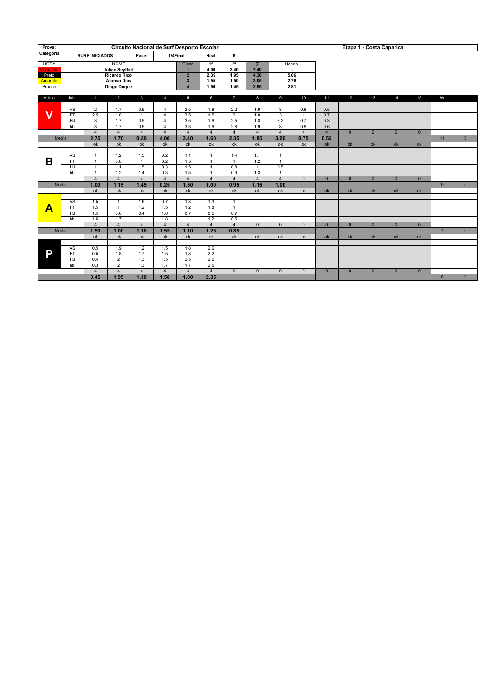| Prova:                  |                 |                       |                        |                                |                       | Circuito Nacional de Surf Desporto Escolar |                       |                       | Etapa 1 - Costa Caparica |                         |                |                |                |                |                |                |                |                |  |
|-------------------------|-----------------|-----------------------|------------------------|--------------------------------|-----------------------|--------------------------------------------|-----------------------|-----------------------|--------------------------|-------------------------|----------------|----------------|----------------|----------------|----------------|----------------|----------------|----------------|--|
| Categoria               |                 | <b>SURF INICIADOS</b> |                        | Fase:                          |                       | 1/4Final                                   | Heat                  | 6                     |                          |                         |                |                |                |                |                |                |                |                |  |
| <b>LICRA</b>            |                 |                       | <b>NOME</b>            |                                |                       | <b>Class</b>                               | 1 <sup>a</sup>        | 2 <sup>a</sup>        | Σ                        | Needs                   |                |                |                |                |                |                |                |                |  |
| Vermelho                |                 |                       | <b>Julian Seyffert</b> |                                |                       | $\overline{1}$                             | 4.00                  | 3.40                  | 7.40                     |                         | $\blacksquare$ |                |                |                |                |                |                |                |  |
| Preto                   |                 |                       | <b>Ricardo Rico</b>    |                                |                       | $\overline{2}$                             | 2.35                  | 1.95                  | 4.30                     |                         | 5.06           |                |                |                |                |                |                |                |  |
| Amarelo                 |                 |                       | <b>Afonso Dias</b>     |                                |                       | $\overline{\mathbf{3}}$                    | 1.55                  | 1.50                  | 3.05                     |                         | 2.76           |                |                |                |                |                |                |                |  |
| Branco                  |                 |                       | Diogo Duque            |                                |                       | $\overline{4}$                             | 1.50                  | 1.45                  | 2.95                     |                         | 2.81           |                |                |                |                |                |                |                |  |
| Atleta                  | Juiz            | 1                     | $\overline{2}$         | 3                              | $\overline{4}$        | 5                                          | 6                     | $\overline{7}$        | 8                        | 9                       | 10             | 11             | 12             | 13             | 14             | 15             | W              |                |  |
|                         |                 |                       |                        |                                |                       |                                            |                       |                       |                          |                         |                |                |                |                |                |                |                |                |  |
|                         | AS              | $\overline{2}$        | 1.7                    | 0.5                            | $\overline{4}$        | 2.5                                        | 1.8                   | 2.2                   | 1.9                      | 3                       | 0.6            | 0.5            |                |                |                |                |                |                |  |
| $\overline{\mathsf{V}}$ | FT              | $\overline{2.5}$      | $\overline{1.8}$       | $\mathbf{1}$                   | 4                     | $\overline{3.5}$                           | 1.5                   | $\overline{2}$        | 1.8                      | $\overline{\mathbf{3}}$ | $\overline{1}$ | 0.7            |                |                |                |                |                |                |  |
|                         | HJ              | 3                     | 1.7                    | 0.5                            | $\overline{4}$        | 3.5                                        | 1.6                   | 2.5                   | 1.8                      | 3.2                     | 0.7            | 0.3            |                |                |                |                |                |                |  |
|                         | hb              |                       | $\overline{1.7}$       | 0.5                            | $\overline{4}$        | 3.3                                        | $\overline{1.6}$      | $\overline{2.8}$      | 1.9                      |                         | 0.8            | 0.6            |                |                |                |                |                |                |  |
|                         |                 | $\overline{4}$        | $\overline{4}$         | $\overline{4}$                 | $\overline{4}$        | $\overline{4}$                             | $\overline{4}$        | $\overline{4}$        | $\overline{4}$           | $\overline{4}$          | $\overline{4}$ | $\overline{4}$ | $\overline{0}$ | $\Omega$       | $\overline{0}$ | $\Omega$       |                |                |  |
|                         | Media           | 2.75                  | 1.70                   | 0.50                           | 4.00                  | 3.40                                       | 1.60                  | 2.35                  | 1.85                     | 3.00                    | 0.75           | 0.55           |                |                |                |                | 11             | $\overline{0}$ |  |
|                         |                 | ok                    | ok                     | ok                             | ok                    | $\overline{ok}$                            | $\overline{ok}$       | ok                    | ok                       | ok                      | ok             | ok             | ok             | ok             | ok             | $\alpha$       |                |                |  |
|                         |                 |                       |                        |                                |                       |                                            |                       |                       |                          |                         |                |                |                |                |                |                |                |                |  |
| В                       | AS              | $\mathbf{1}$          | 1.2                    | 1.5                            | 0.2                   | 1.1                                        | $\mathbf{1}$          | 1.4                   | 1.1                      | $\mathbf{1}$            |                |                |                |                |                |                |                |                |  |
|                         | $\overline{FT}$ | $\overline{1}$        | $\overline{0.8}$       | $\mathbf{1}$                   | $\overline{0.2}$      | $\overline{1.5}$                           | $\mathbf{1}$          | $\mathbf{1}$          | $\overline{1.2}$         | $\mathbf{1}$            |                |                |                |                |                |                |                |                |  |
|                         | <b>HJ</b>       | $\overline{1}$        | 1.1                    | 1.5                            | 0.3                   | 1.5                                        | $\overline{1}$        | 0.8                   | $\overline{1}$           | 0.5                     |                |                |                |                |                |                |                |                |  |
|                         | $\overline{h}$  | $\overline{1}$        | 1.2                    | 1.4                            | 0.3                   | 1.5                                        | $\mathbf{1}$          | 0.9                   | 1.3                      | $\mathbf{1}$            |                |                |                |                |                |                |                |                |  |
|                         |                 | $\overline{4}$        | $\overline{4}$         | $\overline{4}$                 | $\overline{4}$        | $\overline{4}$                             | $\overline{4}$        | $\overline{4}$        | $\overline{4}$           | $\overline{4}$          | $\Omega$       | $\mathbf{0}$   | $\overline{0}$ | $\mathbf{0}$   | $\overline{0}$ | $\Omega$       |                |                |  |
|                         | Media           | 1.00                  | 1.15                   | 1.45                           | 0.25                  | 1.50                                       | 1.00                  | 0.95                  | 1.15                     | 1.00                    |                |                |                |                |                |                | 9              | $\overline{0}$ |  |
|                         |                 | ok                    | ok                     | ok                             | ok                    | $\alpha$                                   | $\overline{ok}$       | ok                    | ok                       | ok                      | ok             | ok             | ok             | ok             | ok             | ok             |                |                |  |
|                         |                 |                       |                        |                                |                       |                                            |                       |                       |                          |                         |                |                |                |                |                |                |                |                |  |
|                         | AS              | 1.5                   | $\overline{1}$         | 1.6                            | 0.7                   | 1.3                                        | 1.3                   | $\overline{1}$        |                          |                         |                |                |                |                |                |                |                |                |  |
| A                       | FT              | 1.5                   | $\mathbf{1}$           | 1.2                            | 1.5                   | 1.2                                        | 1.8                   | $\overline{1}$        |                          |                         |                |                |                |                |                |                |                |                |  |
|                         | HJ              | 1.5                   | 0.6                    | 0.4                            | 1.6                   | 0.7                                        | 0.5                   | 0.7                   |                          |                         |                |                |                |                |                |                |                |                |  |
|                         | hb              | 1.5<br>$\overline{4}$ | 1.7<br>$\overline{4}$  | $\mathbf{1}$<br>$\overline{4}$ | 1.8<br>$\overline{4}$ | $\overline{1}$<br>$\overline{4}$           | 1.2<br>$\overline{4}$ | 0.5<br>$\overline{4}$ | $\overline{0}$           | $\overline{0}$          | $\overline{0}$ | $\overline{0}$ | $\overline{0}$ | $\overline{0}$ | $\overline{0}$ | $\overline{0}$ |                |                |  |
|                         |                 | 1.50                  |                        | 1.10                           | 1.55                  | 1.10                                       | 1.25                  | 0.85                  |                          |                         |                |                |                |                |                |                |                |                |  |
|                         | Media           |                       | 1.00                   | $\alpha$                       |                       | $\alpha$                                   | $\alpha$              |                       |                          |                         |                |                |                |                |                |                | $\overline{7}$ | $\overline{0}$ |  |
|                         |                 | ok                    | ok                     |                                | ok                    |                                            |                       | ok                    | ok                       | ok                      | ok             | ok             | ok             | ok             | ok             | ok             |                |                |  |
|                         | AS              | 0.5                   | 1.9                    | 1.2                            | 1.5                   | 1.8                                        | 2.6                   |                       |                          |                         |                |                |                |                |                |                |                |                |  |
| P                       | FT              | 0.5                   | 1.8                    | 1.7                            | 1.5                   | 1.8                                        | 2.2                   |                       |                          |                         |                |                |                |                |                |                |                |                |  |
|                         | $\overline{HJ}$ | 0.4                   | $\overline{2}$         | 1.3                            | 1.5                   | 2.5                                        | 2.2                   |                       |                          |                         |                |                |                |                |                |                |                |                |  |
|                         | hb              | 0.3                   | $\overline{2}$         | 1.3                            | 1.7                   | 1.7                                        | 2.5                   |                       |                          |                         |                |                |                |                |                |                |                |                |  |
|                         |                 | $\overline{4}$        | $\overline{4}$         | $\overline{4}$                 | $\overline{4}$        | $\overline{4}$                             | $\overline{4}$        | $\mathbf{0}$          | $\mathbf{0}$             | $\mathbf{0}$            | $\mathbf{0}$   | $\mathbf{0}$   | $\overline{0}$ | $\overline{0}$ | $\overline{0}$ | $\overline{0}$ |                |                |  |
|                         |                 | 0.45                  | 1.95                   | 1.30                           | 1.50                  | 1.80                                       | 2.35                  |                       |                          |                         |                |                |                |                |                |                | 6              | $\mathbf{0}$   |  |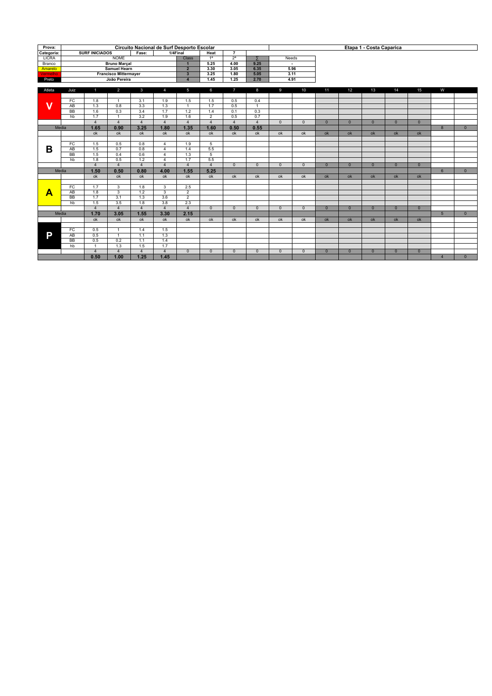| Prova:       |                 |                       |                              | Circuito Nacional de Surf Desporto Escolar |                         |                         |                  |                  |                  |                |                |                |                | Etapa 1 - Costa Caparica |                |              |                  |              |
|--------------|-----------------|-----------------------|------------------------------|--------------------------------------------|-------------------------|-------------------------|------------------|------------------|------------------|----------------|----------------|----------------|----------------|--------------------------|----------------|--------------|------------------|--------------|
| Categoria:   |                 | <b>SURF INICIADOS</b> |                              | Fase:                                      |                         | 1/4Final                | <b>Heat</b>      | $\overline{7}$   |                  |                |                |                |                |                          |                |              |                  |              |
| <b>LICRA</b> |                 |                       | <b>NOME</b>                  |                                            |                         | <b>Class</b>            | 1 <sup>a</sup>   | 2 <sup>a</sup>   | $\overline{z}$   |                | Needs          |                |                |                          |                |              |                  |              |
| Branco       |                 |                       | <b>Bruno Marçal</b>          |                                            |                         | $\overline{1}$          | 5.25             | 4.00             | 9.25             |                | $\sim$         |                |                |                          |                |              |                  |              |
| Amarelo      |                 |                       | <b>Samuel Hearn</b>          |                                            |                         | $\overline{2}$          | 3.30             | 3.05             | 6.35             |                | 5.96           |                |                |                          |                |              |                  |              |
| Vermelho     |                 |                       | <b>Francisco Mittermayer</b> |                                            |                         | $\overline{\mathbf{3}}$ | 3.25             | 1.80             | 5.05             |                | 3.11           |                |                |                          |                |              |                  |              |
| Preto        |                 |                       | João Pereira                 |                                            |                         | $\overline{a}$          | 1.45             | 1.25             | 2.70             |                | 4.91           |                |                |                          |                |              |                  |              |
|              |                 |                       |                              |                                            | $\overline{7}$          |                         | 9                | 10               |                  |                |                |                |                |                          |                |              |                  |              |
| Atleta       | Juiz            | $\mathbf{1}$          | 2                            | $\mathbf{3}$                               | 4                       | 5                       | 6                |                  | 8                |                |                | 11             | 12             | 13                       | 14             | 15           | W                |              |
| v            | FC              | 1.8                   | $\overline{1}$               | 3.1                                        | 1.9                     | 1.5                     | 1.5              | 0.5              | 0.4              |                |                |                |                |                          |                |              |                  |              |
|              | $\overline{AB}$ | $\overline{1.3}$      | 0.8                          | $\overline{3.3}$                           | $\overline{1.3}$        | $\overline{1}$          | $\overline{1.7}$ | $\overline{0.5}$ | $\overline{1}$   |                |                |                |                |                          |                |              |                  |              |
|              | $\overline{BB}$ | $\overline{1.6}$      | $\overline{0.3}$             | $\overline{3.4}$                           | $\overline{1.7}$        | $\overline{1.2}$        | 1.4              | 0.1              | $\overline{0.3}$ |                |                |                |                |                          |                |              |                  |              |
|              | h               | 1.7                   | $\overline{1}$               | 3.2                                        | 1.9                     | 1.6                     | $\overline{2}$   | 0.5              | 0.7              |                |                |                |                |                          |                |              |                  |              |
|              |                 | $\overline{4}$        | $\overline{4}$               | $\overline{4}$                             | $\overline{4}$          | $\overline{4}$          | $\overline{4}$   | $\overline{4}$   | $\overline{4}$   | $\overline{0}$ | $\overline{0}$ | $\overline{0}$ | $\overline{0}$ | $\overline{0}$           | $\overline{0}$ | $\mathbf{0}$ |                  |              |
|              | Media           | 1.65                  | 0.90                         | 3.25                                       | 1.80                    | 1.35                    | 1.60             | 0.50             | 0.55             |                |                |                |                |                          |                |              | $\overline{8}$   | $\mathbf{0}$ |
|              |                 | ok                    | ok                           | ok                                         | ok                      | ok                      | ok               | ok               | ok               | ok             | ok             | ok             | ok             | $\alpha$                 | ok             | ok           |                  |              |
| В            |                 |                       |                              |                                            |                         |                         |                  |                  |                  |                |                |                |                |                          |                |              |                  |              |
|              | FC              | 1.5                   | 0.5                          | 0.8                                        | $\overline{4}$          | 1.9                     | 5                |                  |                  |                |                |                |                |                          |                |              |                  |              |
|              | $\overline{AB}$ | $\overline{1.5}$      | 0.7                          | 0.8                                        | $\overline{4}$          | 1.4                     | 5.5              |                  |                  |                |                |                |                |                          |                |              |                  |              |
|              | $\overline{BB}$ | 1.5                   | 0.4                          | 0.6                                        | $\overline{4}$          | 1.3                     | $\overline{5}$   |                  |                  |                |                |                |                |                          |                |              |                  |              |
|              | hb              | 1.8                   | 0.5                          | 1.2                                        | $\overline{4}$          | 1.7                     | 5.5              |                  |                  |                |                |                |                |                          |                |              |                  |              |
|              |                 | $\overline{4}$        | $\overline{4}$               | $\overline{4}$                             | $\overline{4}$          | $\overline{4}$          | $\overline{4}$   | $\Omega$         | $\overline{0}$   | $\Omega$       | $\Omega$       | $\Omega$       | $\overline{0}$ | $\Omega$                 | $\Omega$       | $\Omega$     |                  |              |
|              | Media           | 1.50                  | 0.50                         | 0.80                                       | 4.00                    | 1.55                    | 5.25             |                  |                  |                |                |                |                |                          |                |              | $6 \overline{6}$ | $\Omega$     |
|              |                 | ok                    | ok                           | ok                                         | ok                      | ok                      | ok               | ok               | ok               | ok             | ok             | ok             | ok             | ok                       | ok             | ok           |                  |              |
|              |                 |                       |                              |                                            |                         |                         |                  |                  |                  |                |                |                |                |                          |                |              |                  |              |
|              | FC              | 1.7                   | $\overline{\mathbf{3}}$      | 1.8                                        | $\overline{\mathbf{3}}$ | $\overline{2.5}$        |                  |                  |                  |                |                |                |                |                          |                |              |                  |              |
| A            | $\overline{AB}$ | $\overline{1.8}$      | $\overline{3}$               | $\overline{1.2}$                           | $\overline{\mathbf{3}}$ | $\overline{2}$          |                  |                  |                  |                |                |                |                |                          |                |              |                  |              |
|              | <b>BB</b>       | 1.7                   | 3.1                          | 1.3                                        | 3.6                     | $\overline{2}$          |                  |                  |                  |                |                |                |                |                          |                |              |                  |              |
|              | hb              | 1.5                   | 3.5                          | 1.8                                        | 3.8                     | 2.3                     |                  |                  |                  |                |                |                |                |                          |                |              |                  |              |
|              |                 | $\overline{4}$        | $\mathbf{A}$                 | $\overline{4}$                             | $\overline{4}$          | $\overline{4}$          | $\Omega$         | $\mathbf{0}$     | $\mathbf{0}$     | $\Omega$       | $\mathbf{0}$   | $\overline{0}$ | $\overline{0}$ | $\overline{0}$           | $\overline{0}$ | $\mathbf{0}$ |                  |              |
|              | Media           | 1.70                  | 3.05                         | 1.55                                       | 3.30                    | 2.15                    |                  |                  |                  |                |                |                |                |                          |                |              | 5 <sup>5</sup>   | $\mathbf{0}$ |
|              |                 | ok                    | ok                           | ok                                         | ok                      | $\overline{ok}$         | ok               | ok               | ok               | ok             | ok             | ok             | ok             | ok                       | ok             | ok           |                  |              |
|              |                 |                       |                              |                                            |                         |                         |                  |                  |                  |                |                |                |                |                          |                |              |                  |              |
|              | FC              | 0.5                   | $\overline{1}$               | 1.4                                        | 1.5                     |                         |                  |                  |                  |                |                |                |                |                          |                |              |                  |              |
| P            | AB<br><b>BB</b> | 0.5                   | $\overline{1}$               | 1.1<br>1.1                                 | 1.3                     |                         |                  |                  |                  |                |                |                |                |                          |                |              |                  |              |
|              |                 | 0.5                   | 0.2                          |                                            | 1.4                     |                         |                  |                  |                  |                |                |                |                |                          |                |              |                  |              |
|              | hb              | $\overline{1}$        | 1.3                          | 1.5                                        | $\overline{1.7}$        |                         |                  |                  |                  |                |                |                |                |                          |                |              |                  |              |
|              |                 | $\overline{4}$        | $\overline{4}$               | $\overline{4}$                             | $\overline{4}$          | $\Omega$                | $\Omega$         | $\Omega$         | $\mathbf{0}$     | $\Omega$       | $\Omega$       | $\mathbf{0}$   | $\mathbf{0}$   | $\Omega$                 | $\mathbf{0}$   | $\mathbf{0}$ |                  |              |
|              |                 | 0.50                  | 1.00                         | 1.25                                       | 1.45                    |                         |                  |                  |                  |                |                |                |                |                          |                |              | $\overline{4}$   | $\mathbf{0}$ |